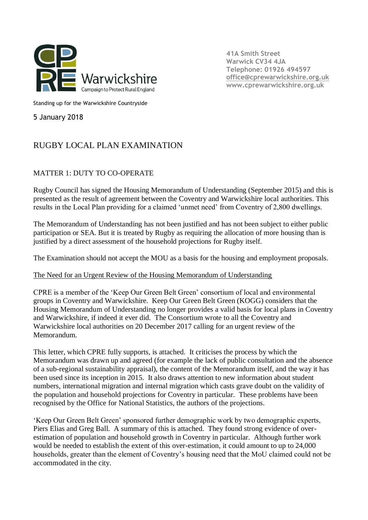

**41A Smith Street Warwick CV34 4JA Telephone: 01926 494597 [office@cprewarwickshire.org.uk](mailto:office@cprewarwickshire.org.uk) www.cprewarwickshire.org.uk**

Standing up for the Warwickshire Countryside

5 January 2018

## RUGBY LOCAL PLAN EXAMINATION

## MATTER 1: DUTY TO CO-OPERATE

Rugby Council has signed the Housing Memorandum of Understanding (September 2015) and this is presented as the result of agreement between the Coventry and Warwickshire local authorities. This results in the Local Plan providing for a claimed 'unmet need' from Coventry of 2,800 dwellings.

The Memorandum of Understanding has not been justified and has not been subject to either public participation or SEA. But it is treated by Rugby as requiring the allocation of more housing than is justified by a direct assessment of the household projections for Rugby itself.

The Examination should not accept the MOU as a basis for the housing and employment proposals.

## The Need for an Urgent Review of the Housing Memorandum of Understanding

CPRE is a member of the 'Keep Our Green Belt Green' consortium of local and environmental groups in Coventry and Warwickshire. Keep Our Green Belt Green (KOGG) considers that the Housing Memorandum of Understanding no longer provides a valid basis for local plans in Coventry and Warwickshire, if indeed it ever did. The Consortium wrote to all the Coventry and Warwickshire local authorities on 20 December 2017 calling for an urgent review of the Memorandum.

This letter, which CPRE fully supports, is attached. It criticises the process by which the Memorandum was drawn up and agreed (for example the lack of public consultation and the absence of a sub-regional sustainability appraisal), the content of the Memorandum itself, and the way it has been used since its inception in 2015. It also draws attention to new information about student numbers, international migration and internal migration which casts grave doubt on the validity of the population and household projections for Coventry in particular. These problems have been recognised by the Office for National Statistics, the authors of the projections.

'Keep Our Green Belt Green' sponsored further demographic work by two demographic experts, Piers Elias and Greg Ball. A summary of this is attached. They found strong evidence of overestimation of population and household growth in Coventry in particular. Although further work would be needed to establish the extent of this over-estimation, it could amount to up to 24,000 households, greater than the element of Coventry's housing need that the MoU claimed could not be accommodated in the city.